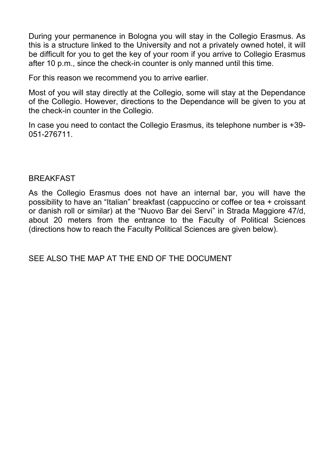During your permanence in Bologna you will stay in the Collegio Erasmus. As this is a structure linked to the University and not a privately owned hotel, it will be difficult for you to get the key of your room if you arrive to Collegio Erasmus after 10 p.m., since the check-in counter is only manned until this time.

For this reason we recommend you to arrive earlier.

Most of you will stay directly at the Collegio, some will stay at the Dependance of the Collegio. However, directions to the Dependance will be given to you at the check-in counter in the Collegio.

In case you need to contact the Collegio Erasmus, its telephone number is +39- 051-276711.

# **BREAKFAST**

As the Collegio Erasmus does not have an internal bar, you will have the possibility to have an "Italian" breakfast (cappuccino or coffee or tea + croissant or danish roll or similar) at the "Nuovo Bar dei Servi" in Strada Maggiore 47/d, about 20 meters from the entrance to the Faculty of Political Sciences (directions how to reach the Faculty Political Sciences are given below).

SEE ALSO THE MAP AT THE END OF THE DOCUMENT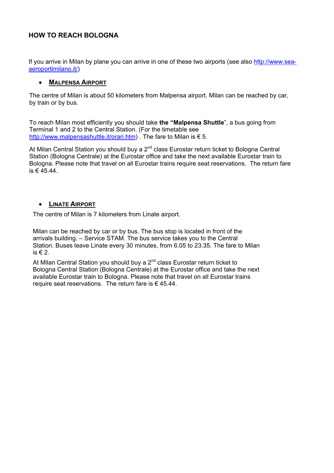# **HOW TO REACH BOLOGNA**

If you arrive in Milan by plane you can arrive in one of these two airports (see also [http://www.sea](http://www.sea-aeroportimilano.it/)[aeroportimilano.it/\)](http://www.sea-aeroportimilano.it/)

#### • **MALPENSA AIRPORT**

The centre of Milan is about 50 kilometers from Malpensa airport. Milan can be reached by car, by train or by bus.

To reach Milan most efficiently you should take **the "Malpensa Shuttle**", a bus going from Terminal 1 and 2 to the Central Station. (For the timetable see [http://www.malpensashuttle.it/orari.htm\)](http://www.malpensashuttle.it/orari.htm) . The fare to Milan is € 5.

At Milan Central Station you should buy a  $2^{nd}$  class Eurostar return ticket to Bologna Central Station (Bologna Centrale) at the Eurostar office and take the next available Eurostar train to Bologna. Please note that travel on all Eurostar trains require seat reservations. The return fare is € 45.44

#### • **LINATE AIRPORT**

The centre of Milan is 7 kilometers from Linate airport.

Milan can be reached by car or by bus. The bus stop is located in front of the arrivals building. – Service STAM. The bus service takes you to the Central Station. Buses leave Linate every 30 minutes, from 6.05 to 23.35. The fare to Milan is  $\in$  2.

At Milan Central Station you should buy a  $2^{nd}$  class Eurostar return ticket to Bologna Central Station (Bologna Centrale) at the Eurostar office and take the next available Eurostar train to Bologna. Please note that travel on all Eurostar trains require seat reservations. The return fare is  $\epsilon$  45.44.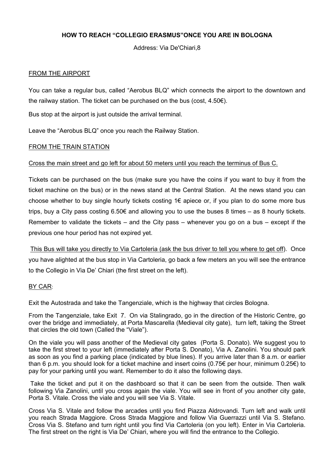## **HOW TO REACH "COLLEGIO ERASMUS"ONCE YOU ARE IN BOLOGNA**

Address: Via De'Chiari,8

#### FROM THE AIRPORT

You can take a regular bus, called "Aerobus BLQ" which connects the airport to the downtown and the railway station. The ticket can be purchased on the bus (cost, 4.50€).

Bus stop at the airport is just outside the arrival terminal.

Leave the "Aerobus BLQ" once you reach the Railway Station.

#### FROM THE TRAIN STATION

#### Cross the main street and go left for about 50 meters until you reach the terminus of Bus C.

Tickets can be purchased on the bus (make sure you have the coins if you want to buy it from the ticket machine on the bus) or in the news stand at the Central Station. At the news stand you can choose whether to buy single hourly tickets costing  $1 \in \mathbb{R}$  apiece or, if you plan to do some more bus trips, buy a City pass costing 6.50€ and allowing you to use the buses 8 times – as 8 hourly tickets. Remember to validate the tickets – and the City pass – whenever you go on a bus – except if the previous one hour period has not expired yet.

This Bus will take you directly to Via Cartoleria (ask the bus driver to tell you where to get off). Once you have alighted at the bus stop in Via Cartoleria, go back a few meters an you will see the entrance to the Collegio in Via De' Chiari (the first street on the left).

#### BY CAR:

Exit the Autostrada and take the Tangenziale, which is the highway that circles Bologna.

From the Tangenziale, take Exit 7. On via Stalingrado, go in the direction of the Historic Centre, go over the bridge and immediately, at Porta Mascarella (Medieval city gate), turn left, taking the Street that circles the old town (Called the "Viale").

On the viale you will pass another of the Medieval city gates (Porta S. Donato). We suggest you to take the first street to your left (immediately after Porta S. Donato), Via A. Zanolini. You should park as soon as you find a parking place (indicated by blue lines). If you arrive later than 8 a.m. or earlier than 6 p.m. you should look for a ticket machine and insert coins (0.75€ per hour, minimum 0.25€) to pay for your parking until you want. Remember to do it also the following days.

 Take the ticket and put it on the dashboard so that it can be seen from the outside. Then walk following Via Zanolini, until you cross again the viale. You will see in front of you another city gate, Porta S. Vitale. Cross the viale and you will see Via S. Vitale.

Cross Via S. Vitale and follow the arcades until you find Piazza Aldrovandi. Turn left and walk until you reach Strada Maggiore. Cross Strada Maggiore and follow Via Guerrazzi until Via S. Stefano. Cross Via S. Stefano and turn right until you find Via Cartoleria (on you left). Enter in Via Cartoleria. The first street on the right is Via De' Chiari, where you will find the entrance to the Collegio.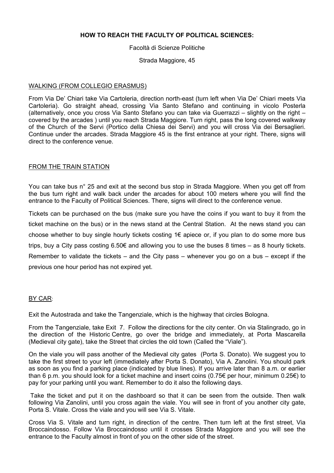### **HOW TO REACH THE FACULTY OF POLITICAL SCIENCES:**

Facoltà di Scienze Politiche

Strada Maggiore, 45

#### WALKING (FROM COLLEGIO ERASMUS)

From Via De' Chiari take Via Cartoleria, direction north-east (turn left when Via De' Chiari meets Via Cartoleria). Go straight ahead, crossing Via Santo Stefano and continuing in vicolo Posterla (alternatively, once you cross Via Santo Stefano you can take via Guerrazzi – slightly on the right – covered by the arcades ) until you reach Strada Maggiore. Turn right, pass the long covered walkway of the Church of the Servi (Portico della Chiesa dei Servi) and you will cross Via dei Bersaglieri. Continue under the arcades. Strada Maggiore 45 is the first entrance at your right. There, signs will direct to the conference venue.

#### FROM THE TRAIN STATION

You can take bus n° 25 and exit at the second bus stop in Strada Maggiore. When you get off from the bus turn right and walk back under the arcades for about 100 meters where you will find the entrance to the Faculty of Political Sciences. There, signs will direct to the conference venue.

Tickets can be purchased on the bus (make sure you have the coins if you want to buy it from the ticket machine on the bus) or in the news stand at the Central Station. At the news stand you can choose whether to buy single hourly tickets costing  $1 \in \mathbb{R}$  apiece or, if you plan to do some more bus trips, buy a City pass costing 6.50€ and allowing you to use the buses 8 times – as 8 hourly tickets. Remember to validate the tickets – and the City pass – whenever you go on a bus – except if the previous one hour period has not expired yet.

#### BY CAR:

Exit the Autostrada and take the Tangenziale, which is the highway that circles Bologna.

From the Tangenziale, take Exit 7. Follow the directions for the city center. On via Stalingrado, go in the direction of the Historic Centre, go over the bridge and immediately, at Porta Mascarella (Medieval city gate), take the Street that circles the old town (Called the "Viale").

On the viale you will pass another of the Medieval city gates (Porta S. Donato). We suggest you to take the first street to your left (immediately after Porta S. Donato), Via A. Zanolini. You should park as soon as you find a parking place (indicated by blue lines). If you arrive later than 8 a.m. or earlier than 6 p.m. you should look for a ticket machine and insert coins (0.75€ per hour, minimum 0.25€) to pay for your parking until you want. Remember to do it also the following days.

 Take the ticket and put it on the dashboard so that it can be seen from the outside. Then walk following Via Zanolini, until you cross again the viale. You will see in front of you another city gate, Porta S. Vitale. Cross the viale and you will see Via S. Vitale.

Cross Via S. Vitale and turn right, in direction of the centre. Then turn left at the first street, Via Broccaindosso. Follow Via Broccaindosso until it crosses Strada Maggiore and you will see the entrance to the Faculty almost in front of you on the other side of the street.